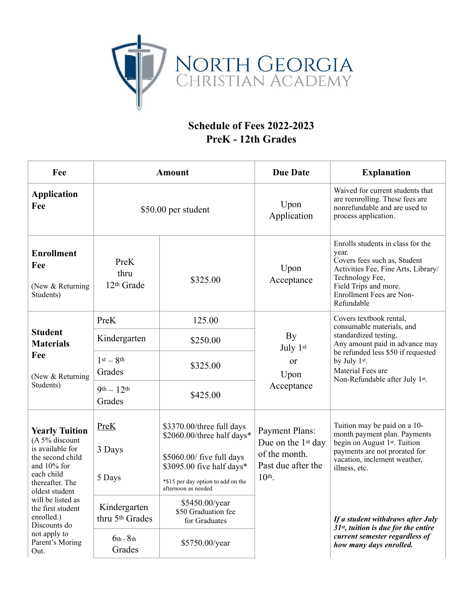

## **Schedule of Fees 2022-2023 PreK - 12th Grades**

| Fee                                                                                                                                                                                                                                                                  | <b>Amount</b>                               |                                                                                                                                                                                | <b>Due Date</b>                                                                                                                                                                                                                                                         | <b>Explanation</b>                                                                                                                                                                                      |
|----------------------------------------------------------------------------------------------------------------------------------------------------------------------------------------------------------------------------------------------------------------------|---------------------------------------------|--------------------------------------------------------------------------------------------------------------------------------------------------------------------------------|-------------------------------------------------------------------------------------------------------------------------------------------------------------------------------------------------------------------------------------------------------------------------|---------------------------------------------------------------------------------------------------------------------------------------------------------------------------------------------------------|
| <b>Application</b><br>Fee                                                                                                                                                                                                                                            | \$50.00 per student                         |                                                                                                                                                                                | Upon<br>Application                                                                                                                                                                                                                                                     | Waived for current students that<br>are reenrolling. These fees are<br>nonrefundable and are used to<br>process application.                                                                            |
| <b>Enrollment</b><br>Fee<br>(New & Returning<br>Students)                                                                                                                                                                                                            | PreK<br>thru<br>12 <sup>th</sup> Grade      | \$325.00                                                                                                                                                                       | Upon<br>Acceptance                                                                                                                                                                                                                                                      | Enrolls students in class for the<br>year.<br>Covers fees such as, Student<br>Activities Fee, Fine Arts, Library/<br>Technology Fee,<br>Field Trips and more.<br>Enrollment Fees are Non-<br>Refundable |
| <b>Student</b><br><b>Materials</b><br>Fee<br>(New & Returning<br>Students)                                                                                                                                                                                           | PreK                                        | 125.00                                                                                                                                                                         | Covers textbook rental,<br>consumable materials, and<br>standardized testing.<br>By<br>Any amount paid in advance may<br>July 1st<br>be refunded less \$50 if requested<br>by July 1st.<br><sub>or</sub><br>Material Fees are<br>Upon<br>Non-Refundable after July 1st. |                                                                                                                                                                                                         |
|                                                                                                                                                                                                                                                                      | Kindergarten                                | \$250.00                                                                                                                                                                       |                                                                                                                                                                                                                                                                         |                                                                                                                                                                                                         |
|                                                                                                                                                                                                                                                                      | $1st - 8th$<br>Grades                       | \$325.00                                                                                                                                                                       |                                                                                                                                                                                                                                                                         |                                                                                                                                                                                                         |
|                                                                                                                                                                                                                                                                      | $9th - 12th$<br>Grades                      | \$425.00                                                                                                                                                                       | Acceptance                                                                                                                                                                                                                                                              |                                                                                                                                                                                                         |
| <b>Yearly Tuition</b><br>(A 5% discount<br>is available for<br>the second child<br>and 10% for<br>each child<br>thereafter. The<br>oldest student<br>will be listed as<br>the first student<br>enrolled.)<br>Discounts do<br>not apply to<br>Parent's Moring<br>Out. | PreK<br>3 Days<br>5 Days                    | \$3370.00/three full days<br>\$2060.00/three half days*<br>\$5060.00/ five full days<br>\$3095.00 five half days*<br>*\$15 per day option to add on the<br>afternoon as needed | <b>Payment Plans:</b><br>Due on the 1 <sup>st</sup> day<br>of the month.<br>Past due after the<br>$10th$ .                                                                                                                                                              | Tuition may be paid on a 10-<br>month payment plan. Payments<br>begin on August 1st. Tuition<br>payments are not prorated for<br>vacation, inclement weather,<br>illness, etc.                          |
|                                                                                                                                                                                                                                                                      | Kindergarten<br>thru 5 <sup>th</sup> Grades | \$5450.00/year<br>\$50 Graduation fee<br>for Graduates                                                                                                                         |                                                                                                                                                                                                                                                                         | If a student withdraws after July<br>$31st$ , tuition is due for the entire<br>current semester regardless of<br>how many days enrolled.                                                                |
|                                                                                                                                                                                                                                                                      | $6th - 8th$<br>Grades                       | \$5750.00/year                                                                                                                                                                 |                                                                                                                                                                                                                                                                         |                                                                                                                                                                                                         |